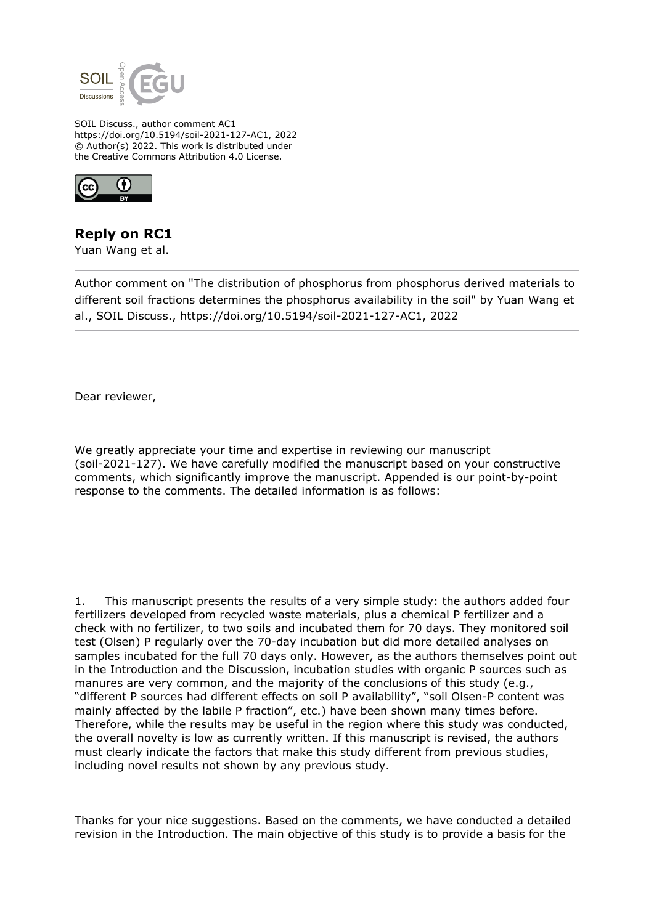

SOIL Discuss., author comment AC1 https://doi.org/10.5194/soil-2021-127-AC1, 2022 © Author(s) 2022. This work is distributed under the Creative Commons Attribution 4.0 License.



**Reply on RC1**

Yuan Wang et al.

Author comment on "The distribution of phosphorus from phosphorus derived materials to different soil fractions determines the phosphorus availability in the soil" by Yuan Wang et al., SOIL Discuss., https://doi.org/10.5194/soil-2021-127-AC1, 2022

Dear reviewer,

We greatly appreciate your time and expertise in reviewing our manuscript (soil-2021-127). We have carefully modified the manuscript based on your constructive comments, which significantly improve the manuscript. Appended is our point-by-point response to the comments. The detailed information is as follows:

1. This manuscript presents the results of a very simple study: the authors added four fertilizers developed from recycled waste materials, plus a chemical P fertilizer and a check with no fertilizer, to two soils and incubated them for 70 days. They monitored soil test (Olsen) P regularly over the 70-day incubation but did more detailed analyses on samples incubated for the full 70 days only. However, as the authors themselves point out in the Introduction and the Discussion, incubation studies with organic P sources such as manures are very common, and the majority of the conclusions of this study (e.g., "different P sources had different effects on soil P availability", "soil Olsen-P content was mainly affected by the labile P fraction", etc.) have been shown many times before. Therefore, while the results may be useful in the region where this study was conducted, the overall novelty is low as currently written. If this manuscript is revised, the authors must clearly indicate the factors that make this study different from previous studies, including novel results not shown by any previous study.

Thanks for your nice suggestions. Based on the comments, we have conducted a detailed revision in the Introduction. The main objective of this study is to provide a basis for the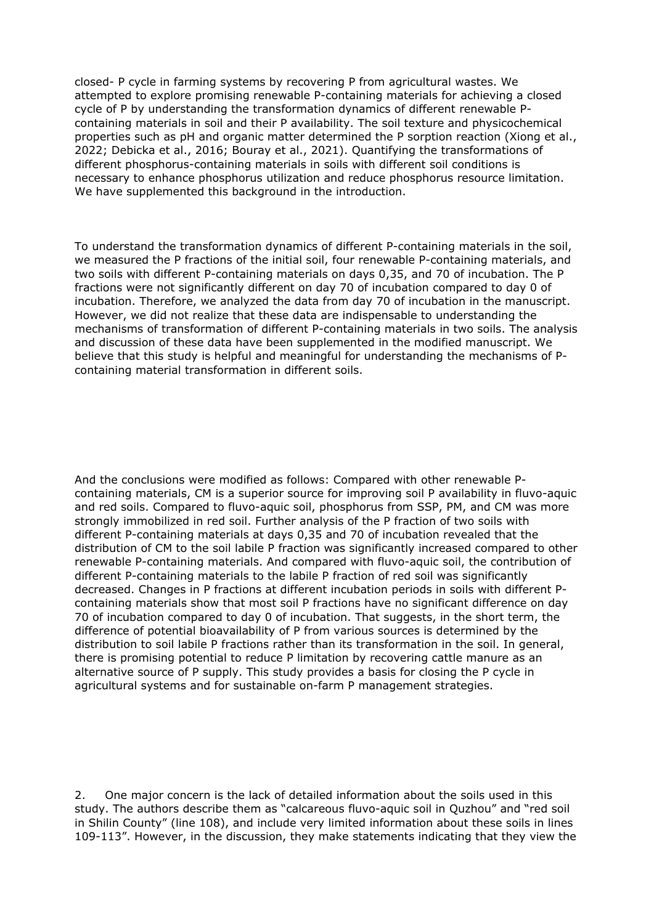closed- P cycle in farming systems by recovering P from agricultural wastes. We attempted to explore promising renewable P-containing materials for achieving a closed cycle of P by understanding the transformation dynamics of different renewable Pcontaining materials in soil and their P availability. The soil texture and physicochemical properties such as pH and organic matter determined the P sorption reaction (Xiong et al., 2022; Debicka et al., 2016; Bouray et al., 2021). Quantifying the transformations of different phosphorus-containing materials in soils with different soil conditions is necessary to enhance phosphorus utilization and reduce phosphorus resource limitation. We have supplemented this background in the introduction.

To understand the transformation dynamics of different P-containing materials in the soil, we measured the P fractions of the initial soil, four renewable P-containing materials, and two soils with different P-containing materials on days 0,35, and 70 of incubation. The P fractions were not significantly different on day 70 of incubation compared to day 0 of incubation. Therefore, we analyzed the data from day 70 of incubation in the manuscript. However, we did not realize that these data are indispensable to understanding the mechanisms of transformation of different P-containing materials in two soils. The analysis and discussion of these data have been supplemented in the modified manuscript. We believe that this study is helpful and meaningful for understanding the mechanisms of Pcontaining material transformation in different soils.

And the conclusions were modified as follows: Compared with other renewable Pcontaining materials, CM is a superior source for improving soil P availability in fluvo-aquic and red soils. Compared to fluvo-aquic soil, phosphorus from SSP, PM, and CM was more strongly immobilized in red soil. Further analysis of the P fraction of two soils with different P-containing materials at days 0,35 and 70 of incubation revealed that the distribution of CM to the soil labile P fraction was significantly increased compared to other renewable P-containing materials. And compared with fluvo-aquic soil, the contribution of different P-containing materials to the labile P fraction of red soil was significantly decreased. Changes in P fractions at different incubation periods in soils with different Pcontaining materials show that most soil P fractions have no significant difference on day 70 of incubation compared to day 0 of incubation. That suggests, in the short term, the difference of potential bioavailability of P from various sources is determined by the distribution to soil labile P fractions rather than its transformation in the soil. In general, there is promising potential to reduce P limitation by recovering cattle manure as an alternative source of P supply. This study provides a basis for closing the P cycle in agricultural systems and for sustainable on-farm P management strategies.

2. One major concern is the lack of detailed information about the soils used in this study. The authors describe them as "calcareous fluvo-aquic soil in Quzhou" and "red soil in Shilin County" (line 108), and include very limited information about these soils in lines 109-113". However, in the discussion, they make statements indicating that they view the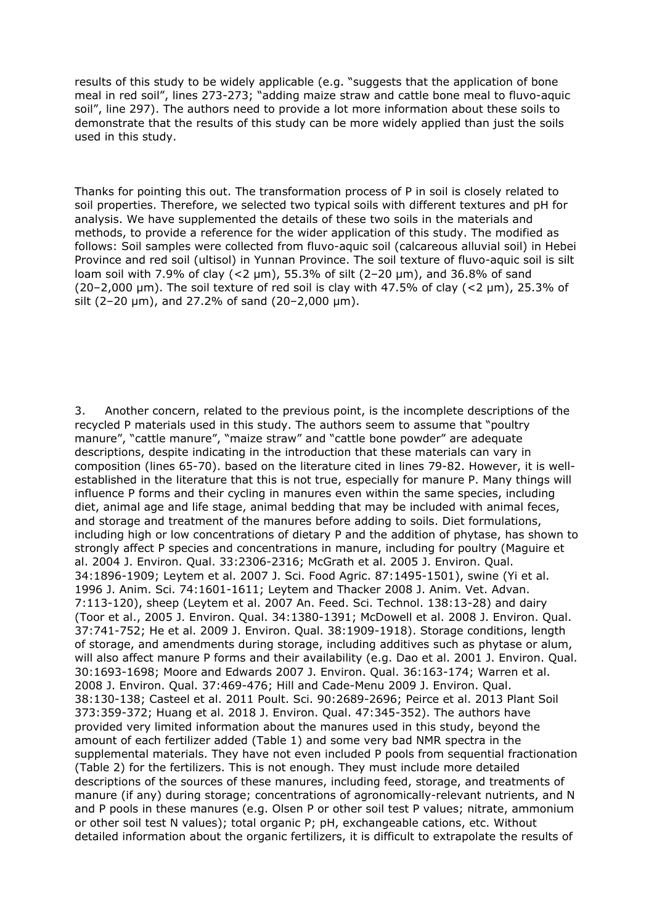results of this study to be widely applicable (e.g. "suggests that the application of bone meal in red soil", lines 273-273; "adding maize straw and cattle bone meal to fluvo-aquic soil", line 297). The authors need to provide a lot more information about these soils to demonstrate that the results of this study can be more widely applied than just the soils used in this study.

Thanks for pointing this out. The transformation process of P in soil is closely related to soil properties. Therefore, we selected two typical soils with different textures and pH for analysis. We have supplemented the details of these two soils in the materials and methods, to provide a reference for the wider application of this study. The modified as follows: Soil samples were collected from fluvo-aquic soil (calcareous alluvial soil) in Hebei Province and red soil (ultisol) in Yunnan Province. The soil texture of fluvo-aquic soil is silt loam soil with 7.9% of clay (<2 μm), 55.3% of silt (2–20 μm), and 36.8% of sand (20–2,000 μm). The soil texture of red soil is clay with 47.5% of clay (<2 μm), 25.3% of silt (2–20 μm), and 27.2% of sand (20–2,000 μm).

3. Another concern, related to the previous point, is the incomplete descriptions of the recycled P materials used in this study. The authors seem to assume that "poultry manure", "cattle manure", "maize straw" and "cattle bone powder" are adequate descriptions, despite indicating in the introduction that these materials can vary in composition (lines 65-70). based on the literature cited in lines 79-82. However, it is wellestablished in the literature that this is not true, especially for manure P. Many things will influence P forms and their cycling in manures even within the same species, including diet, animal age and life stage, animal bedding that may be included with animal feces, and storage and treatment of the manures before adding to soils. Diet formulations, including high or low concentrations of dietary P and the addition of phytase, has shown to strongly affect P species and concentrations in manure, including for poultry (Maguire et al. 2004 J. Environ. Qual. 33:2306-2316; McGrath et al. 2005 J. Environ. Qual. 34:1896-1909; Leytem et al. 2007 J. Sci. Food Agric. 87:1495-1501), swine (Yi et al. 1996 J. Anim. Sci. 74:1601-1611; Leytem and Thacker 2008 J. Anim. Vet. Advan. 7:113-120), sheep (Leytem et al. 2007 An. Feed. Sci. Technol. 138:13-28) and dairy (Toor et al., 2005 J. Environ. Qual. 34:1380-1391; McDowell et al. 2008 J. Environ. Qual. 37:741-752; He et al. 2009 J. Environ. Qual. 38:1909-1918). Storage conditions, length of storage, and amendments during storage, including additives such as phytase or alum, will also affect manure P forms and their availability (e.g. Dao et al. 2001 J. Environ. Qual. 30:1693-1698; Moore and Edwards 2007 J. Environ. Qual. 36:163-174; Warren et al. 2008 J. Environ. Qual. 37:469-476; Hill and Cade-Menu 2009 J. Environ. Qual. 38:130-138; Casteel et al. 2011 Poult. Sci. 90:2689-2696; Peirce et al. 2013 Plant Soil 373:359-372; Huang et al. 2018 J. Environ. Qual. 47:345-352). The authors have provided very limited information about the manures used in this study, beyond the amount of each fertilizer added (Table 1) and some very bad NMR spectra in the supplemental materials. They have not even included P pools from sequential fractionation (Table 2) for the fertilizers. This is not enough. They must include more detailed descriptions of the sources of these manures, including feed, storage, and treatments of manure (if any) during storage; concentrations of agronomically-relevant nutrients, and N and P pools in these manures (e.g. Olsen P or other soil test P values; nitrate, ammonium or other soil test N values); total organic P; pH, exchangeable cations, etc. Without detailed information about the organic fertilizers, it is difficult to extrapolate the results of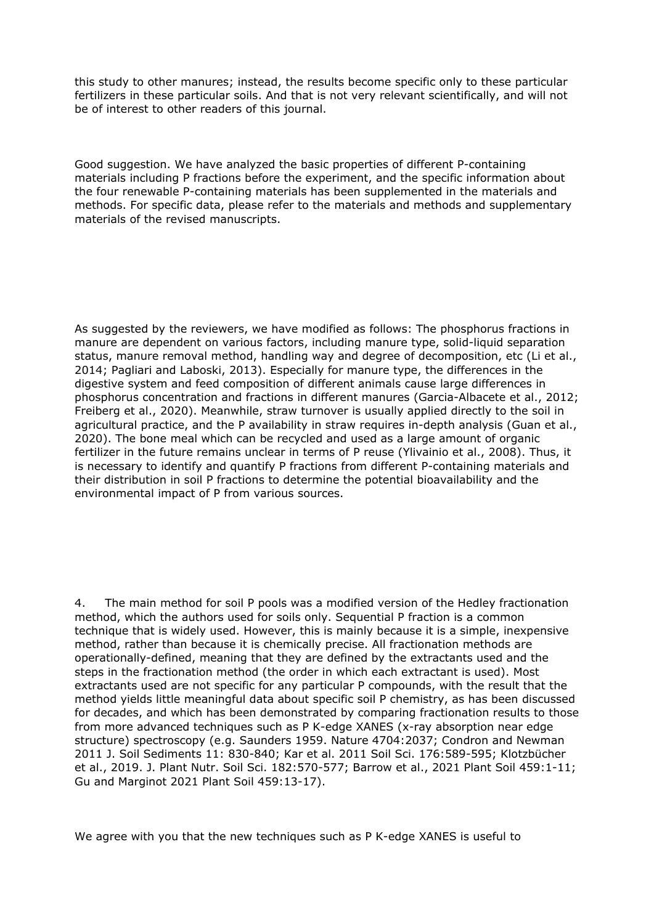this study to other manures; instead, the results become specific only to these particular fertilizers in these particular soils. And that is not very relevant scientifically, and will not be of interest to other readers of this journal.

Good suggestion. We have analyzed the basic properties of different P-containing materials including P fractions before the experiment, and the specific information about the four renewable P-containing materials has been supplemented in the materials and methods. For specific data, please refer to the materials and methods and supplementary materials of the revised manuscripts.

As suggested by the reviewers, we have modified as follows: The phosphorus fractions in manure are dependent on various factors, including manure type, solid-liquid separation status, manure removal method, handling way and degree of decomposition, etc (Li et al., 2014; Pagliari and Laboski, 2013). Especially for manure type, the differences in the digestive system and feed composition of different animals cause large differences in phosphorus concentration and fractions in different manures (Garcia-Albacete et al., 2012; Freiberg et al., 2020). Meanwhile, straw turnover is usually applied directly to the soil in agricultural practice, and the P availability in straw requires in-depth analysis (Guan et al., 2020). The bone meal which can be recycled and used as a large amount of organic fertilizer in the future remains unclear in terms of P reuse (Ylivainio et al., 2008). Thus, it is necessary to identify and quantify P fractions from different P-containing materials and their distribution in soil P fractions to determine the potential bioavailability and the environmental impact of P from various sources.

4. The main method for soil P pools was a modified version of the Hedley fractionation method, which the authors used for soils only. Sequential P fraction is a common technique that is widely used. However, this is mainly because it is a simple, inexpensive method, rather than because it is chemically precise. All fractionation methods are operationally-defined, meaning that they are defined by the extractants used and the steps in the fractionation method (the order in which each extractant is used). Most extractants used are not specific for any particular P compounds, with the result that the method yields little meaningful data about specific soil P chemistry, as has been discussed for decades, and which has been demonstrated by comparing fractionation results to those from more advanced techniques such as P K-edge XANES (x-ray absorption near edge structure) spectroscopy (e.g. Saunders 1959. Nature 4704:2037; Condron and Newman 2011 J. Soil Sediments 11: 830-840; Kar et al. 2011 Soil Sci. 176:589-595; Klotzbücher et al., 2019. J. Plant Nutr. Soil Sci. 182:570-577; Barrow et al., 2021 Plant Soil 459:1-11; Gu and Marginot 2021 Plant Soil 459:13-17).

We agree with you that the new techniques such as P K-edge XANES is useful to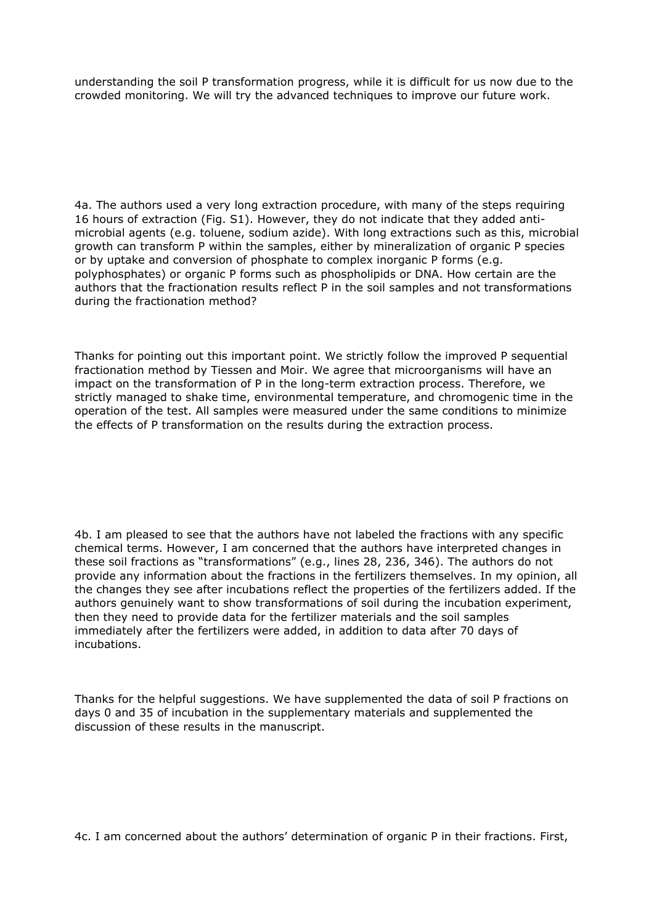understanding the soil P transformation progress, while it is difficult for us now due to the crowded monitoring. We will try the advanced techniques to improve our future work.

4a. The authors used a very long extraction procedure, with many of the steps requiring 16 hours of extraction (Fig. S1). However, they do not indicate that they added antimicrobial agents (e.g. toluene, sodium azide). With long extractions such as this, microbial growth can transform P within the samples, either by mineralization of organic P species or by uptake and conversion of phosphate to complex inorganic P forms (e.g. polyphosphates) or organic P forms such as phospholipids or DNA. How certain are the authors that the fractionation results reflect P in the soil samples and not transformations during the fractionation method?

Thanks for pointing out this important point. We strictly follow the improved P sequential fractionation method by Tiessen and Moir. We agree that microorganisms will have an impact on the transformation of P in the long-term extraction process. Therefore, we strictly managed to shake time, environmental temperature, and chromogenic time in the operation of the test. All samples were measured under the same conditions to minimize the effects of P transformation on the results during the extraction process.

4b. I am pleased to see that the authors have not labeled the fractions with any specific chemical terms. However, I am concerned that the authors have interpreted changes in these soil fractions as "transformations" (e.g., lines 28, 236, 346). The authors do not provide any information about the fractions in the fertilizers themselves. In my opinion, all the changes they see after incubations reflect the properties of the fertilizers added. If the authors genuinely want to show transformations of soil during the incubation experiment, then they need to provide data for the fertilizer materials and the soil samples immediately after the fertilizers were added, in addition to data after 70 days of incubations.

Thanks for the helpful suggestions. We have supplemented the data of soil P fractions on days 0 and 35 of incubation in the supplementary materials and supplemented the discussion of these results in the manuscript.

4c. I am concerned about the authors' determination of organic P in their fractions. First,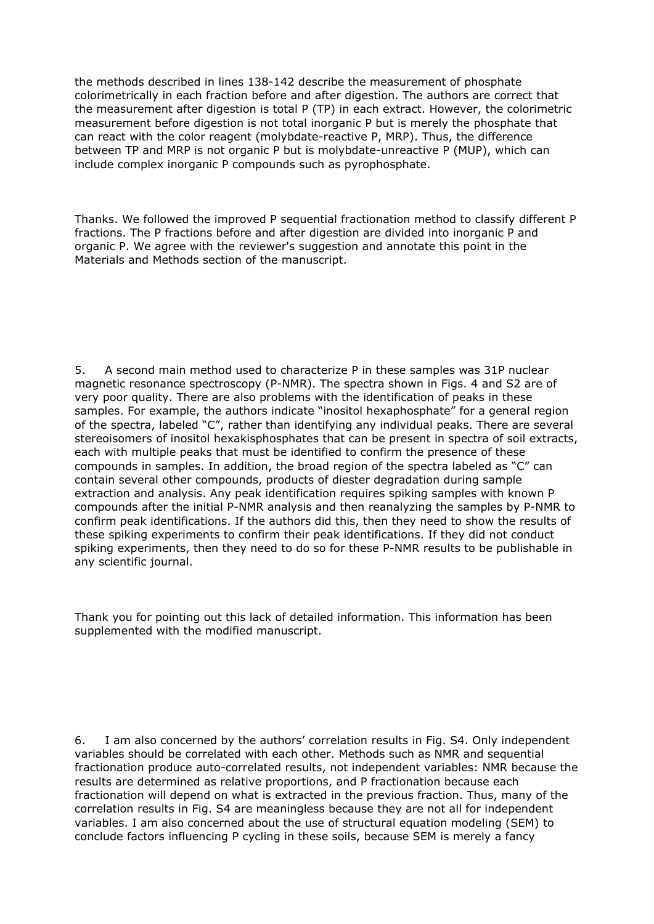the methods described in lines 138-142 describe the measurement of phosphate colorimetrically in each fraction before and after digestion. The authors are correct that the measurement after digestion is total P (TP) in each extract. However, the colorimetric measurement before digestion is not total inorganic P but is merely the phosphate that can react with the color reagent (molybdate-reactive P, MRP). Thus, the difference between TP and MRP is not organic P but is molybdate-unreactive P (MUP), which can include complex inorganic P compounds such as pyrophosphate.

Thanks. We followed the improved P sequential fractionation method to classify different P fractions. The P fractions before and after digestion are divided into inorganic P and organic P. We agree with the reviewer's suggestion and annotate this point in the Materials and Methods section of the manuscript.

5. A second main method used to characterize P in these samples was 31P nuclear magnetic resonance spectroscopy (P-NMR). The spectra shown in Figs. 4 and S2 are of very poor quality. There are also problems with the identification of peaks in these samples. For example, the authors indicate "inositol hexaphosphate" for a general region of the spectra, labeled "C", rather than identifying any individual peaks. There are several stereoisomers of inositol hexakisphosphates that can be present in spectra of soil extracts, each with multiple peaks that must be identified to confirm the presence of these compounds in samples. In addition, the broad region of the spectra labeled as "C" can contain several other compounds, products of diester degradation during sample extraction and analysis. Any peak identification requires spiking samples with known P compounds after the initial P-NMR analysis and then reanalyzing the samples by P-NMR to confirm peak identifications. If the authors did this, then they need to show the results of these spiking experiments to confirm their peak identifications. If they did not conduct spiking experiments, then they need to do so for these P-NMR results to be publishable in any scientific journal.

Thank you for pointing out this lack of detailed information. This information has been supplemented with the modified manuscript.

6. I am also concerned by the authors' correlation results in Fig. S4. Only independent variables should be correlated with each other. Methods such as NMR and sequential fractionation produce auto-correlated results, not independent variables: NMR because the results are determined as relative proportions, and P fractionation because each fractionation will depend on what is extracted in the previous fraction. Thus, many of the correlation results in Fig. S4 are meaningless because they are not all for independent variables. I am also concerned about the use of structural equation modeling (SEM) to conclude factors influencing P cycling in these soils, because SEM is merely a fancy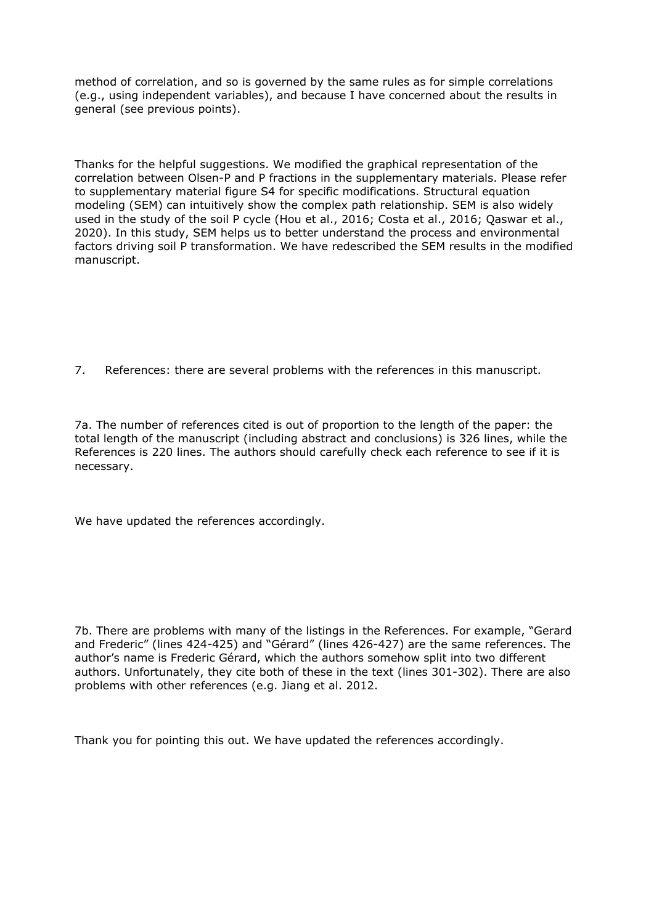method of correlation, and so is governed by the same rules as for simple correlations (e.g., using independent variables), and because I have concerned about the results in general (see previous points).

Thanks for the helpful suggestions. We modified the graphical representation of the correlation between Olsen-P and P fractions in the supplementary materials. Please refer to supplementary material figure S4 for specific modifications. Structural equation modeling (SEM) can intuitively show the complex path relationship. SEM is also widely used in the study of the soil P cycle (Hou et al., 2016; Costa et al., 2016; Qaswar et al., 2020). In this study, SEM helps us to better understand the process and environmental factors driving soil P transformation. We have redescribed the SEM results in the modified manuscript.

7. References: there are several problems with the references in this manuscript.

7a. The number of references cited is out of proportion to the length of the paper: the total length of the manuscript (including abstract and conclusions) is 326 lines, while the References is 220 lines. The authors should carefully check each reference to see if it is necessary.

We have updated the references accordingly.

7b. There are problems with many of the listings in the References. For example, "Gerard and Frederic" (lines 424-425) and "Gérard" (lines 426-427) are the same references. The author's name is Frederic Gérard, which the authors somehow split into two different authors. Unfortunately, they cite both of these in the text (lines 301-302). There are also problems with other references (e.g. Jiang et al. 2012.

Thank you for pointing this out. We have updated the references accordingly.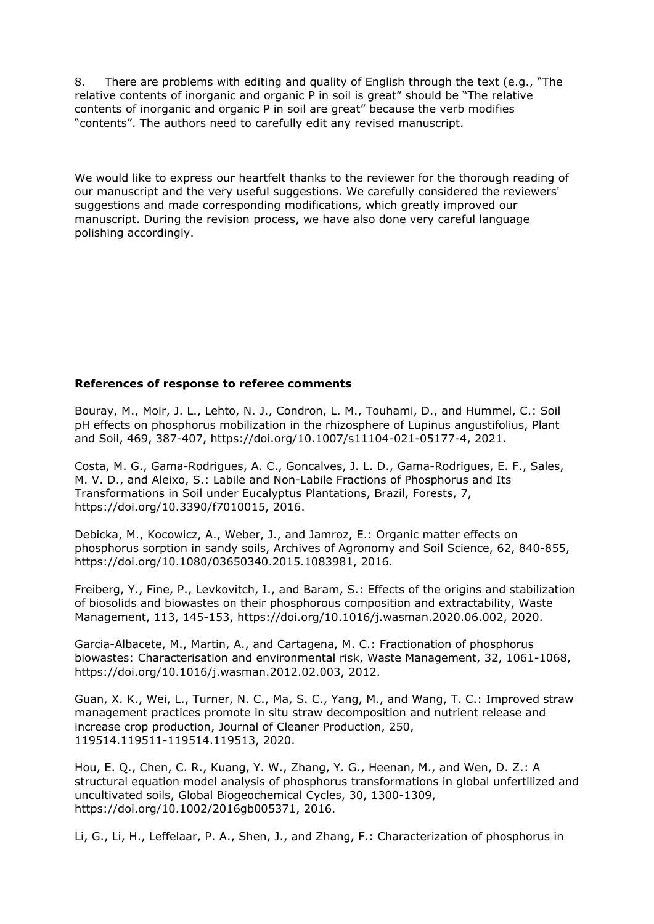8. There are problems with editing and quality of English through the text (e.g., "The relative contents of inorganic and organic P in soil is great" should be "The relative contents of inorganic and organic P in soil are great" because the verb modifies "contents". The authors need to carefully edit any revised manuscript.

We would like to express our heartfelt thanks to the reviewer for the thorough reading of our manuscript and the very useful suggestions. We carefully considered the reviewers' suggestions and made corresponding modifications, which greatly improved our manuscript. During the revision process, we have also done very careful language polishing accordingly.

## **References of response to referee comments**

Bouray, M., Moir, J. L., Lehto, N. J., Condron, L. M., Touhami, D., and Hummel, C.: Soil pH effects on phosphorus mobilization in the rhizosphere of Lupinus angustifolius, Plant and Soil, 469, 387-407, https://doi.org/10.1007/s11104-021-05177-4, 2021.

Costa, M. G., Gama-Rodrigues, A. C., Goncalves, J. L. D., Gama-Rodrigues, E. F., Sales, M. V. D., and Aleixo, S.: Labile and Non-Labile Fractions of Phosphorus and Its Transformations in Soil under Eucalyptus Plantations, Brazil, Forests, 7, https://doi.org/10.3390/f7010015, 2016.

Debicka, M., Kocowicz, A., Weber, J., and Jamroz, E.: Organic matter effects on phosphorus sorption in sandy soils, Archives of Agronomy and Soil Science, 62, 840-855, https://doi.org/10.1080/03650340.2015.1083981, 2016.

Freiberg, Y., Fine, P., Levkovitch, I., and Baram, S.: Effects of the origins and stabilization of biosolids and biowastes on their phosphorous composition and extractability, Waste Management, 113, 145-153, https://doi.org/10.1016/j.wasman.2020.06.002, 2020.

Garcia-Albacete, M., Martin, A., and Cartagena, M. C.: Fractionation of phosphorus biowastes: Characterisation and environmental risk, Waste Management, 32, 1061-1068, https://doi.org/10.1016/j.wasman.2012.02.003, 2012.

Guan, X. K., Wei, L., Turner, N. C., Ma, S. C., Yang, M., and Wang, T. C.: Improved straw management practices promote in situ straw decomposition and nutrient release and increase crop production, Journal of Cleaner Production, 250, 119514.119511-119514.119513, 2020.

Hou, E. Q., Chen, C. R., Kuang, Y. W., Zhang, Y. G., Heenan, M., and Wen, D. Z.: A structural equation model analysis of phosphorus transformations in global unfertilized and uncultivated soils, Global Biogeochemical Cycles, 30, 1300-1309, https://doi.org/10.1002/2016gb005371, 2016.

Li, G., Li, H., Leffelaar, P. A., Shen, J., and Zhang, F.: Characterization of phosphorus in